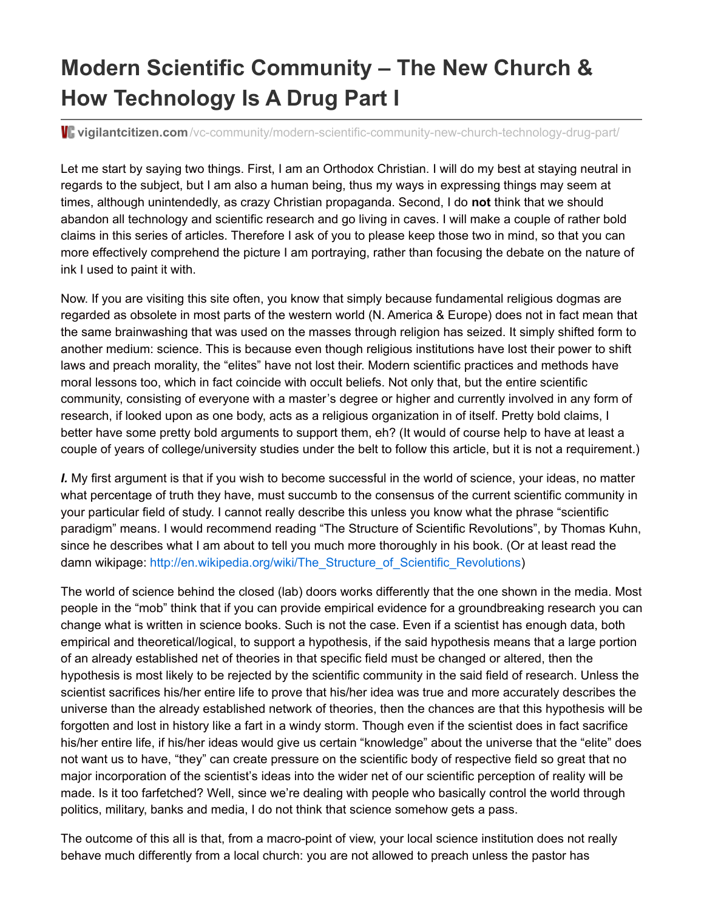## **Modern Scientific Community – The New Church & How Technology Is A Drug Part I**

**vigilantcitizen.com**[/vc-community/modern-scientific-community-new-church-technology-drug-part/](http://vigilantcitizen.com/vc-community/modern-scientific-community-new-church-technology-drug-part/)

Let me start by saying two things. First, I am an Orthodox Christian. I will do my best at staying neutral in regards to the subject, but I am also a human being, thus my ways in expressing things may seem at times, although unintendedly, as crazy Christian propaganda. Second, I do **not** think that we should abandon all technology and scientific research and go living in caves. I will make a couple of rather bold claims in this series of articles. Therefore I ask of you to please keep those two in mind, so that you can more effectively comprehend the picture I am portraying, rather than focusing the debate on the nature of ink I used to paint it with.

Now. If you are visiting this site often, you know that simply because fundamental religious dogmas are regarded as obsolete in most parts of the western world (N. America & Europe) does not in fact mean that the same brainwashing that was used on the masses through religion has seized. It simply shifted form to another medium: science. This is because even though religious institutions have lost their power to shift laws and preach morality, the "elites" have not lost their. Modern scientific practices and methods have moral lessons too, which in fact coincide with occult beliefs. Not only that, but the entire scientific community, consisting of everyone with a master's degree or higher and currently involved in any form of research, if looked upon as one body, acts as a religious organization in of itself. Pretty bold claims, I better have some pretty bold arguments to support them, eh? (It would of course help to have at least a couple of years of college/university studies under the belt to follow this article, but it is not a requirement.)

*I.* My first argument is that if you wish to become successful in the world of science, your ideas, no matter what percentage of truth they have, must succumb to the consensus of the current scientific community in your particular field of study. I cannot really describe this unless you know what the phrase "scientific paradigm" means. I would recommend reading "The Structure of Scientific Revolutions", by Thomas Kuhn, since he describes what I am about to tell you much more thoroughly in his book. (Or at least read the damn wikipage: [http://en.wikipedia.org/wiki/The\\_Structure\\_of\\_Scientific\\_Revolutions](http://en.wikipedia.org/wiki/The_Structure_of_Scientific_Revolutions))

The world of science behind the closed (lab) doors works differently that the one shown in the media. Most people in the "mob" think that if you can provide empirical evidence for a groundbreaking research you can change what is written in science books. Such is not the case. Even if a scientist has enough data, both empirical and theoretical/logical, to support a hypothesis, if the said hypothesis means that a large portion of an already established net of theories in that specific field must be changed or altered, then the hypothesis is most likely to be rejected by the scientific community in the said field of research. Unless the scientist sacrifices his/her entire life to prove that his/her idea was true and more accurately describes the universe than the already established network of theories, then the chances are that this hypothesis will be forgotten and lost in history like a fart in a windy storm. Though even if the scientist does in fact sacrifice his/her entire life, if his/her ideas would give us certain "knowledge" about the universe that the "elite" does not want us to have, "they" can create pressure on the scientific body of respective field so great that no major incorporation of the scientist's ideas into the wider net of our scientific perception of reality will be made. Is it too farfetched? Well, since we're dealing with people who basically control the world through politics, military, banks and media, I do not think that science somehow gets a pass.

The outcome of this all is that, from a macro-point of view, your local science institution does not really behave much differently from a local church: you are not allowed to preach unless the pastor has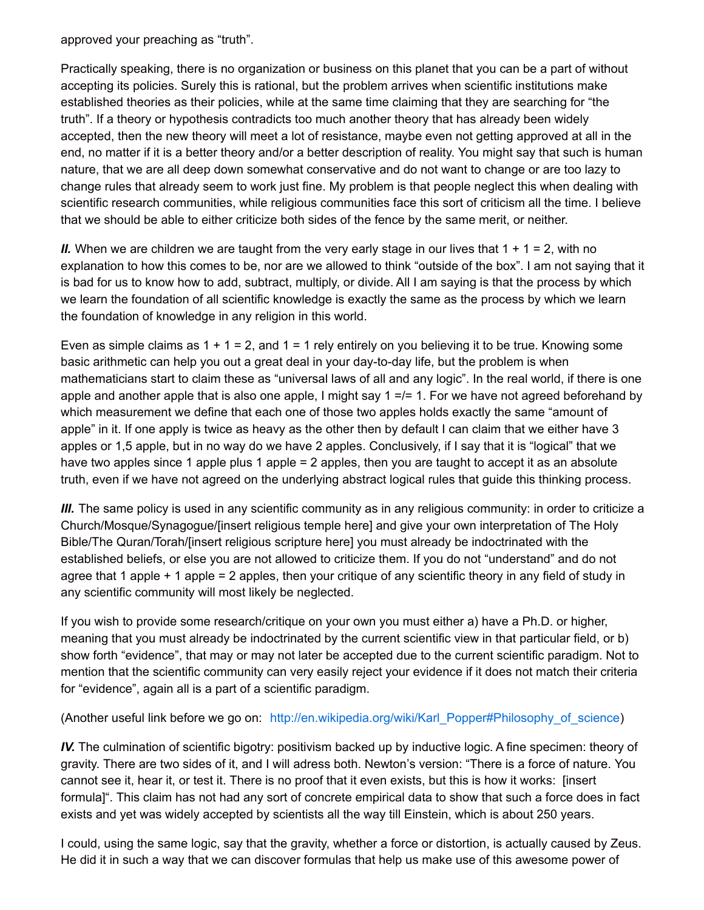approved your preaching as "truth".

Practically speaking, there is no organization or business on this planet that you can be a part of without accepting its policies. Surely this is rational, but the problem arrives when scientific institutions make established theories as their policies, while at the same time claiming that they are searching for "the truth". If a theory or hypothesis contradicts too much another theory that has already been widely accepted, then the new theory will meet a lot of resistance, maybe even not getting approved at all in the end, no matter if it is a better theory and/or a better description of reality. You might say that such is human nature, that we are all deep down somewhat conservative and do not want to change or are too lazy to change rules that already seem to work just fine. My problem is that people neglect this when dealing with scientific research communities, while religious communities face this sort of criticism all the time. I believe that we should be able to either criticize both sides of the fence by the same merit, or neither.

*II.* When we are children we are taught from the very early stage in our lives that  $1 + 1 = 2$ , with no explanation to how this comes to be, nor are we allowed to think "outside of the box". I am not saying that it is bad for us to know how to add, subtract, multiply, or divide. All I am saying is that the process by which we learn the foundation of all scientific knowledge is exactly the same as the process by which we learn the foundation of knowledge in any religion in this world.

Even as simple claims as  $1 + 1 = 2$ , and  $1 = 1$  rely entirely on you believing it to be true. Knowing some basic arithmetic can help you out a great deal in your day-to-day life, but the problem is when mathematicians start to claim these as "universal laws of all and any logic". In the real world, if there is one apple and another apple that is also one apple, I might say 1 =/= 1. For we have not agreed beforehand by which measurement we define that each one of those two apples holds exactly the same "amount of apple" in it. If one apply is twice as heavy as the other then by default I can claim that we either have 3 apples or 1,5 apple, but in no way do we have 2 apples. Conclusively, if I say that it is "logical" that we have two apples since 1 apple plus 1 apple = 2 apples, then you are taught to accept it as an absolute truth, even if we have not agreed on the underlying abstract logical rules that guide this thinking process.

*III.* The same policy is used in any scientific community as in any religious community: in order to criticize a Church/Mosque/Synagogue/[insert religious temple here] and give your own interpretation of The Holy Bible/The Quran/Torah/[insert religious scripture here] you must already be indoctrinated with the established beliefs, or else you are not allowed to criticize them. If you do not "understand" and do not agree that 1 apple + 1 apple = 2 apples, then your critique of any scientific theory in any field of study in any scientific community will most likely be neglected.

If you wish to provide some research/critique on your own you must either a) have a Ph.D. or higher, meaning that you must already be indoctrinated by the current scientific view in that particular field, or b) show forth "evidence", that may or may not later be accepted due to the current scientific paradigm. Not to mention that the scientific community can very easily reject your evidence if it does not match their criteria for "evidence", again all is a part of a scientific paradigm.

(Another useful link before we go on: [http://en.wikipedia.org/wiki/Karl\\_Popper#Philosophy\\_of\\_science](http://en.wikipedia.org/wiki/Karl_Popper#Philosophy_of_science))

*IV.* The culmination of scientific bigotry: positivism backed up by inductive logic. A fine specimen: theory of gravity. There are two sides of it, and I will adress both. Newton's version: "There is a force of nature. You cannot see it, hear it, or test it. There is no proof that it even exists, but this is how it works: [insert formula]". This claim has not had any sort of concrete empirical data to show that such a force does in fact exists and yet was widely accepted by scientists all the way till Einstein, which is about 250 years.

I could, using the same logic, say that the gravity, whether a force or distortion, is actually caused by Zeus. He did it in such a way that we can discover formulas that help us make use of this awesome power of